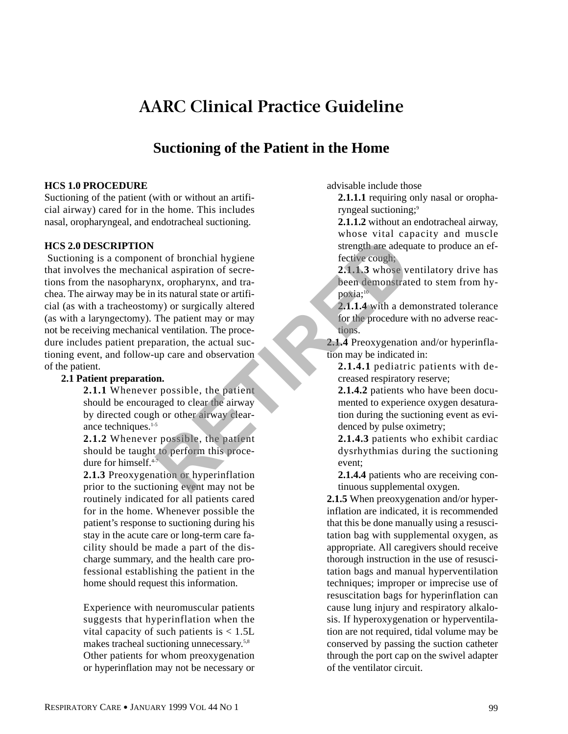# **AARC Clinical Practice Guideline**

# **Suctioning of the Patient in the Home**

#### **HCS 1.0 PROCEDURE**

Suctioning of the patient (with or without an artificial airway) cared for in the home. This includes nasal, oropharyngeal, and endotracheal suctioning.

#### **HCS 2.0 DESCRIPTION**

Suctioning is a component of bronchial hygiene that involves the mechanical aspiration of secretions from the nasopharynx, oropharynx, and trachea. The airway may be in its natural state or artificial (as with a tracheostomy) or surgically altered (as with a laryngectomy). The patient may or may not be receiving mechanical ventilation. The procedure includes patient preparation, the actual suctioning event, and follow-up care and observation of the patient. and the particular control of the particular control of the particular contract its natural state or artificity of surgically altered to the proceduration. The proceduration, the actual such and such a signal state of the

#### **2.1 Patient preparation.**

**2.1.1** Whenever possible, the patient should be encouraged to clear the airway by directed cough or other airway clearance techniques.<sup>1-5</sup>

**2.1.2** Whenever possible, the patient should be taught to perform this procedure for himself.<sup>4-7</sup>

**2.1.3** Preoxygenation or hyperinflation prior to the suctioning event may not be routinely indicated for all patients cared for in the home. Whenever possible the patient's response to suctioning during his stay in the acute care or long-term care facility should be made a part of the discharge summary, and the health care professional establishing the patient in the home should request this information.

Experience with neuromuscular patients suggests that hyperinflation when the vital capacity of such patients is  $< 1.5L$ makes tracheal suctioning unnecessary.5,8 Other patients for whom preoxygenation or hyperinflation may not be necessary or advisable include those

**2.1.1.1** requiring only nasal or oropharyngeal suctioning;<sup>9</sup>

**2.1.1.2** without an endotracheal airway, whose vital capacity and muscle strength are adequate to produce an effective cough;

**2.1.1.3** whose ventilatory drive has been demonstrated to stem from hypoxia:<sup>10</sup>

**2.1.1.4** with a demonstrated tolerance for the procedure with no adverse reactions.

**2.1.4** Preoxygenation and/or hyperinflation may be indicated in:

**2.1.4.1** pediatric patients with decreased respiratory reserve;

**2.1.4.2** patients who have been documented to experience oxygen desaturation during the suctioning event as evidenced by pulse oximetry;

**2.1.4.3** patients who exhibit cardiac dysrhythmias during the suctioning event;

**2.1.4.4** patients who are receiving continuous supplemental oxygen.

**2.1.5** When preoxygenation and/or hyperinflation are indicated, it is recommended that this be done manually using a resuscitation bag with supplemental oxygen, as appropriate. All caregivers should receive thorough instruction in the use of resuscitation bags and manual hyperventilation techniques; improper or imprecise use of resuscitation bags for hyperinflation can cause lung injury and respiratory alkalosis. If hyperoxygenation or hyperventilation are not required, tidal volume may be conserved by passing the suction catheter through the port cap on the swivel adapter of the ventilator circuit.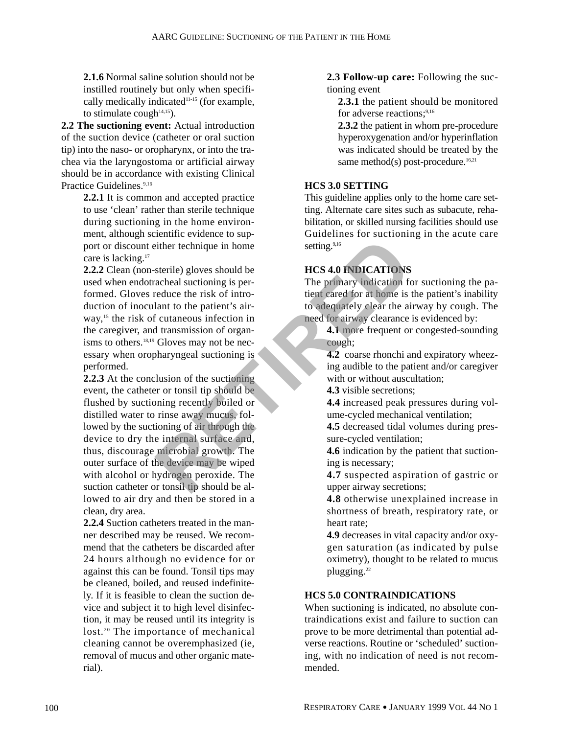**2.1.6** Normal saline solution should not be instilled routinely but only when specifically medically indicated<sup>11-15</sup> (for example, to stimulate cough $14,15$ ).

**2.2 The suctioning event:** Actual introduction of the suction device (catheter or oral suction tip) into the naso- or oropharynx, or into the trachea via the laryngostoma or artificial airway should be in accordance with existing Clinical Practice Guidelines.<sup>9,16</sup>

> **2.2.1** It is common and accepted practice to use 'clean' rather than sterile technique during suctioning in the home environment, although scientific evidence to support or discount either technique in home care is lacking.<sup>17</sup>

> **2.2.2** Clean (non-sterile) gloves should be used when endotracheal suctioning is performed. Gloves reduce the risk of introduction of inoculant to the patient's airway,<sup>15</sup> the risk of cutaneous infection in the caregiver, and transmission of organisms to others.<sup>18,19</sup> Gloves may not be necessary when oropharyngeal suctioning is performed.

**2.2.3** At the conclusion of the suctioning event, the catheter or tonsil tip should be flushed by suctioning recently boiled or distilled water to rinse away mucus, followed by the suctioning of air through the device to dry the internal surface and, thus, discourage microbial growth. The outer surface of the device may be wiped with alcohol or hydrogen peroxide. The suction catheter or tonsil tip should be allowed to air dry and then be stored in a clean, dry area. Example the setting the setting the setting the setting the setting the setting the setting the setting the setting the setting the setting the setting of original and transmission of original transmission of original tran

**2.2.4** Suction catheters treated in the manner described may be reused. We recommend that the catheters be discarded after 24 hours although no evidence for or against this can be found. Tonsil tips may be cleaned, boiled, and reused indefinitely. If it is feasible to clean the suction device and subject it to high level disinfection, it may be reused until its integrity is lost.<sup>20</sup> The importance of mechanical cleaning cannot be overemphasized (ie, removal of mucus and other organic material).

**2.3 Follow-up care:** Following the suctioning event

**2.3.1** the patient should be monitored for adverse reactions;<sup>9,16</sup>

**2.3.2** the patient in whom pre-procedure hyperoxygenation and/or hyperinflation was indicated should be treated by the same method(s) post-procedure. $16,21$ 

# **HCS 3.0 SETTING**

This guideline applies only to the home care setting. Alternate care sites such as subacute, rehabilitation, or skilled nursing facilities should use Guidelines for suctioning in the acute care setting.<sup>9,16</sup>

# **HCS 4.0 INDICATIONS**

The primary indication for suctioning the patient cared for at home is the patient's inability to adequately clear the airway by cough. The need for airway clearance is evidenced by:

**4.1** more frequent or congested-sounding cough;

**4.2** coarse rhonchi and expiratory wheezing audible to the patient and/or caregiver with or without auscultation;

**4.3** visible secretions;

**4.4** increased peak pressures during volume-cycled mechanical ventilation;

**4.5** decreased tidal volumes during pressure-cycled ventilation;

**4.6** indication by the patient that suctioning is necessary;

**4.7** suspected aspiration of gastric or upper airway secretions;

**4.8** otherwise unexplained increase in shortness of breath, respiratory rate, or heart rate;

**4.9** decreases in vital capacity and/or oxygen saturation (as indicated by pulse oximetry), thought to be related to mucus plugging.<sup>22</sup>

# **HCS 5.0 CONTRAINDICATIONS**

When suctioning is indicated, no absolute contraindications exist and failure to suction can prove to be more detrimental than potential adverse reactions. Routine or 'scheduled' suctioning, with no indication of need is not recommended.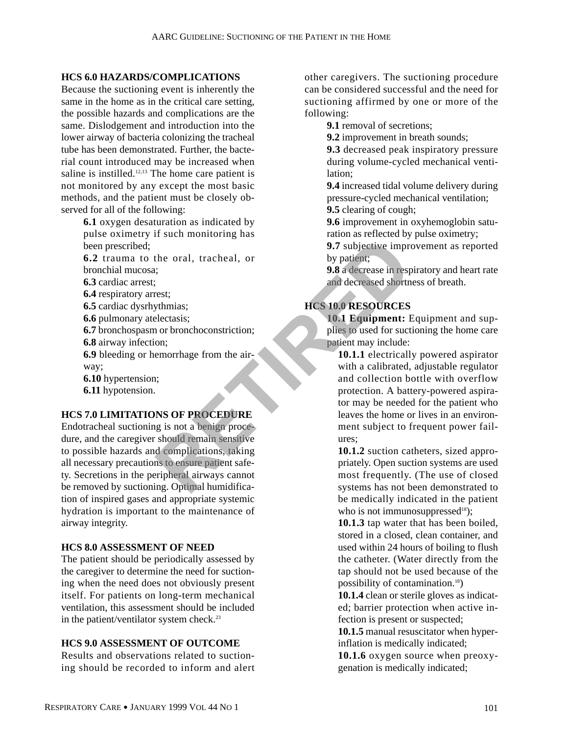#### **HCS 6.0 HAZARDS/COMPLICATIONS**

Because the suctioning event is inherently the same in the home as in the critical care setting, the possible hazards and complications are the same. Dislodgement and introduction into the lower airway of bacteria colonizing the tracheal tube has been demonstrated. Further, the bacterial count introduced may be increased when saline is instilled. $12,13$  The home care patient is not monitored by any except the most basic methods, and the patient must be closely observed for all of the following:

- **6.1** oxygen desaturation as indicated by pulse oximetry if such monitoring has been prescribed;
- **6.2** trauma to the oral, tracheal, or bronchial mucosa;
- **6.3** cardiac arrest;
- **6.4** respiratory arrest;
- **6.5** cardiac dysrhythmias;
- **6.6** pulmonary atelectasis;
- **6.7** bronchospasm or bronchoconstriction;
- **6.8** airway infection;
- **6.9** bleeding or hemorrhage from the airway;
- **6.10** hypertension;
- **6.11** hypotension.

#### **HCS 7.0 LIMITATIONS OF PROCEDURE**

Endotracheal suctioning is not a benign procedure, and the caregiver should remain sensitive to possible hazards and complications, taking all necessary precautions to ensure patient safety. Secretions in the peripheral airways cannot be removed by suctioning. Optimal humidification of inspired gases and appropriate systemic hydration is important to the maintenance of airway integrity. **Profits and the set of the set of the set of the set of the set of the set of the set of the set of the set of the set of the set of the set of the set of the set of the set of the set of the set of the set of the set of** 

#### **HCS 8.0 ASSESSMENT OF NEED**

The patient should be periodically assessed by the caregiver to determine the need for suctioning when the need does not obviously present itself. For patients on long-term mechanical ventilation, this assessment should be included in the patient/ventilator system check.<sup>23</sup>

#### **HCS 9.0 ASSESSMENT OF OUTCOME**

Results and observations related to suctioning should be recorded to inform and alert other caregivers. The suctioning procedure can be considered successful and the need for suctioning affirmed by one or more of the following:

**9.1** removal of secretions:

**9.2** improvement in breath sounds;

**9.3** decreased peak inspiratory pressure during volume-cycled mechanical ventilation;

**9.4** increased tidal volume delivery during pressure-cycled mechanical ventilation; **9.5** clearing of cough;

**9.6** improvement in oxyhemoglobin saturation as reflected by pulse oximetry;

**9.7** subjective improvement as reported by patient;

**9.8** a decrease in respiratory and heart rate and decreased shortness of breath.

# **HCS 10.0 RESOURCES**

**10.1 Equipment:** Equipment and supplies to used for suctioning the home care patient may include:

**10.1.1** electrically powered aspirator with a calibrated, adjustable regulator and collection bottle with overflow protection. A battery-powered aspirator may be needed for the patient who leaves the home or lives in an environment subject to frequent power failures;

**10.1.2** suction catheters, sized appropriately. Open suction systems are used most frequently. (The use of closed systems has not been demonstrated to be medically indicated in the patient who is not immunosuppressed $18$ );

**10.1.3** tap water that has been boiled, stored in a closed, clean container, and used within 24 hours of boiling to flush the catheter. (Water directly from the tap should not be used because of the possibility of contamination.18)

**10.1.4** clean or sterile gloves as indicated; barrier protection when active infection is present or suspected;

**10.1.5** manual resuscitator when hyperinflation is medically indicated;

**10.1.6** oxygen source when preoxygenation is medically indicated;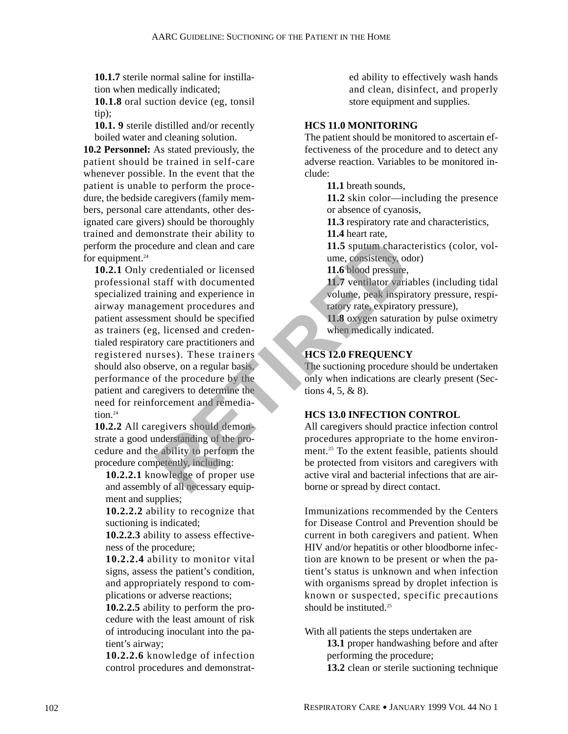**10.1.7** sterile normal saline for instillation when medically indicated;

**10.1.8** oral suction device (eg, tonsil tip);

**10.1. 9** sterile distilled and/or recently boiled water and cleaning solution.

**10.2 Personnel:** As stated previously, the patient should be trained in self-care whenever possible. In the event that the patient is unable to perform the procedure, the bedside caregivers (family members, personal care attendants, other designated care givers) should be thoroughly trained and demonstrate their ability to perform the procedure and clean and care for equipment. $24$ 

**10.2.1** Only credentialed or licensed professional staff with documented specialized training and experience in airway management procedures and patient assessment should be specified as trainers (eg, licensed and credentialed respiratory care practitioners and registered nurses). These trainers should also observe, on a regular basis, performance of the procedure by the patient and caregivers to determine the need for reinforcement and remediation $24$ Example the staff with documented<br>
and care and care and care<br> **RETIRED UP:** The specified<br>
Separate the procedures and<br>
Figure and experience in<br>
Figure and experience in<br>
the specified<br>
Figure and credures and<br>
Figure an

**10.2.2** All caregivers should demonstrate a good understanding of the procedure and the ability to perform the procedure competently, including:

**10.2.2.1** knowledge of proper use and assembly of all necessary equipment and supplies;

**10.2.2.2** ability to recognize that suctioning is indicated;

**10.2.2.3** ability to assess effectiveness of the procedure;

**10.2.2.4** ability to monitor vital signs, assess the patient's condition, and appropriately respond to complications or adverse reactions;

**10.2.2.5** ability to perform the procedure with the least amount of risk of introducing inoculant into the patient's airway;

**10.2.2.6** knowledge of infection control procedures and demonstrated ability to effectively wash hands and clean, disinfect, and properly store equipment and supplies.

# **HCS 11.0 MONITORING**

The patient should be monitored to ascertain effectiveness of the procedure and to detect any adverse reaction. Variables to be monitored include:

**11.1** breath sounds,

**11.2** skin color—including the presence or absence of cyanosis,

**11.3** respiratory rate and characteristics, **11.4** heart rate,

**11.5** sputum characteristics (color, volume, consistency, odor)

**11.6** blood pressure,

**11.7** ventilator variables (including tidal volume, peak inspiratory pressure, respiratory rate, expiratory pressure),

**11.8** oxygen saturation by pulse oximetry when medically indicated.

# **HCS 12.0 FREQUENCY**

The suctioning procedure should be undertaken only when indications are clearly present (Sections 4, 5, & 8).

# **HCS 13.0 INFECTION CONTROL**

All caregivers should practice infection control procedures appropriate to the home environment.<sup>25</sup> To the extent feasible, patients should be protected from visitors and caregivers with active viral and bacterial infections that are airborne or spread by direct contact.

Immunizations recommended by the Centers for Disease Control and Prevention should be current in both caregivers and patient. When HIV and/or hepatitis or other bloodborne infection are known to be present or when the patient's status is unknown and when infection with organisms spread by droplet infection is known or suspected, specific precautions should be instituted.<sup>25</sup>

With all patients the steps undertaken are

**13.1** proper handwashing before and after performing the procedure;

**13.2** clean or sterile suctioning technique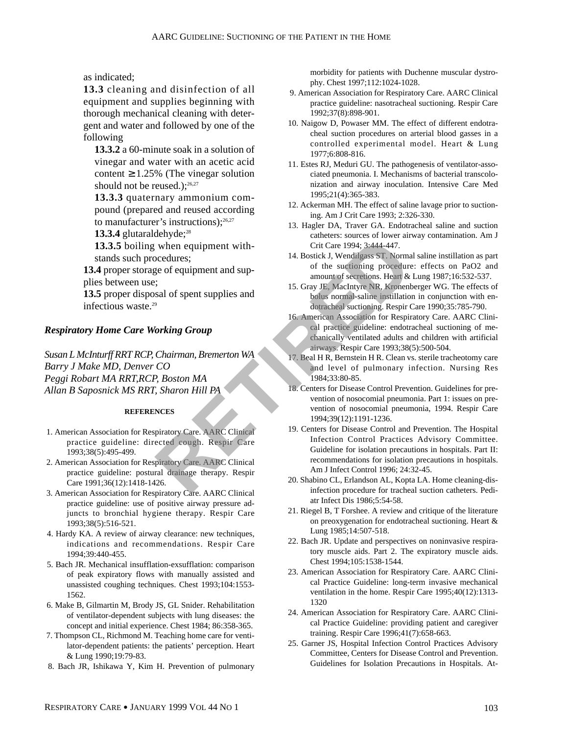as indicated;

**13.3** cleaning and disinfection of all equipment and supplies beginning with thorough mechanical cleaning with detergent and water and followed by one of the following

**13.3.2** a 60-minute soak in a solution of vinegar and water with an acetic acid content  $\geq 1.25\%$  (The vinegar solution should not be reused.);<sup>26,27</sup>

**13.3.3** quaternary ammonium compound (prepared and reused according to manufacturer's instructions); $26,27$ 

13.3.4 glutaraldehyde;<sup>28</sup>

**13.3.5** boiling when equipment withstands such procedures;

**13.4** proper storage of equipment and supplies between use;

**13.5** proper disposal of spent supplies and infectious waste.29

#### *Respiratory Home Care Working Group*

*Susan L McInturff RRT RCP, Chairman, Bremerton WA Barry J Make MD, Denver CO Peggi Robart MA RRT,RCP, Boston MA Allan B Saposnick MS RRT, Sharon Hill PA* 

#### **REFERENCES**

- 1. American Association for Respiratory Care. AARC Clinical practice guideline: directed cough. Respir Care 1993;38(5):495-499.
- 2. American Association for Respiratory Care. AARC Clinical practice guideline: postural drainage therapy. Respir Care 1991;36(12):1418-1426.
- 3. American Association for Respiratory Care. AARC Clinical practice guideline: use of positive airway pressure adjuncts to bronchial hygiene therapy. Respir Care 1993;38(5):516-521.
- 4. Hardy KA. A review of airway clearance: new techniques, indications and recommendations. Respir Care 1994;39:440-455.
- 5. Bach JR. Mechanical insufflation-exsufflation: comparison of peak expiratory flows with manually assisted and unassisted coughing techniques. Chest 1993;104:1553- 1562.
- 6. Make B, Gilmartin M, Brody JS, GL Snider. Rehabilitation of ventilator-dependent subjects with lung diseases: the concept and initial experience. Chest 1984; 86:358-365.
- 7. Thompson CL, Richmond M. Teaching home care for ventilator-dependent patients: the patients' perception. Heart & Lung 1990;19:79-83.
- 8. Bach JR, Ishikawa Y, Kim H. Prevention of pulmonary

morbidity for patients with Duchenne muscular dystrophy. Chest 1997;112:1024-1028.

- 9. American Association for Respiratory Care. AARC Clinical practice guideline: nasotracheal suctioning. Respir Care 1992;37(8):898-901.
- 10. Naigow D, Powaser MM. The effect of different endotracheal suction procedures on arterial blood gasses in a controlled experimental model. Heart & Lung 1977;6:808-816.
- 11. Estes RJ, Meduri GU. The pathogenesis of ventilator-associated pneumonia. I. Mechanisms of bacterial transcolonization and airway inoculation. Intensive Care Med 1995;21(4):365-383.
- 12. Ackerman MH. The effect of saline lavage prior to suctioning. Am J Crit Care 1993; 2:326-330.
- 13. Hagler DA, Traver GA. Endotracheal saline and suction catheters: sources of lower airway contamination. Am J Crit Care 1994; 3:444-447.
- 14. Bostick J, Wendilgass ST. Normal saline instillation as part of the suctioning procedure: effects on PaO2 and amount of secretions. Heart & Lung 1987;16:532-537.
- 15. Gray JE, MacIntyre NR, Kronenberger WG. The effects of bolus normal-saline instillation in conjunction with endotracheal suctioning. Respir Care 1990;35:785-790.
- 16. American Association for Respiratory Care. AARC Clinical practice guideline: endotracheal suctioning of mechanically ventilated adults and children with artificial airways. Respir Care 1993;38(5):500-504.
- 17. Beal H R, Bernstein H R. Clean vs. sterile tracheotomy care and level of pulmonary infection. Nursing Res 1984;33:80-85.
- 18. Centers for Disease Control Prevention. Guidelines for prevention of nosocomial pneumonia. Part 1: issues on prevention of nosocomial pneumonia, 1994. Respir Care 1994;39(12):1191-1236.
- 19. Centers for Disease Control and Prevention. The Hospital Infection Control Practices Advisory Committee. Guideline for isolation precautions in hospitals. Part II: recommendations for isolation precautions in hospitals. Am J Infect Control 1996; 24:32-45. **Examplement with-**<br>
Since of equipment with-<br>
Crit Care 1994; 3:444-447.<br>
Crit Care 1994; 3:444-447.<br>
Represent and sup-<br>
Free of equipment and sup-<br>
Since of the suctioning procedure<br>
of the suctioning procedure<br>
of the
	- 20. Shabino CL, Erlandson AL, Kopta LA. Home cleaning-disinfection procedure for tracheal suction catheters. Pediatr Infect Dis 1986;5:54-58.
	- 21. Riegel B, T Forshee. A review and critique of the literature on preoxygenation for endotracheal suctioning. Heart & Lung 1985;14:507-518.
	- 22. Bach JR. Update and perspectives on noninvasive respiratory muscle aids. Part 2. The expiratory muscle aids. Chest 1994;105:1538-1544.
	- 23. American Association for Respiratory Care. AARC Clinical Practice Guideline: long-term invasive mechanical ventilation in the home. Respir Care 1995;40(12):1313- 1320
	- 24. American Association for Respiratory Care. AARC Clinical Practice Guideline: providing patient and caregiver training. Respir Care 1996;41(7):658-663.
	- 25. Garner JS, Hospital Infection Control Practices Advisory Committee, Centers for Disease Control and Prevention. Guidelines for Isolation Precautions in Hospitals. At-